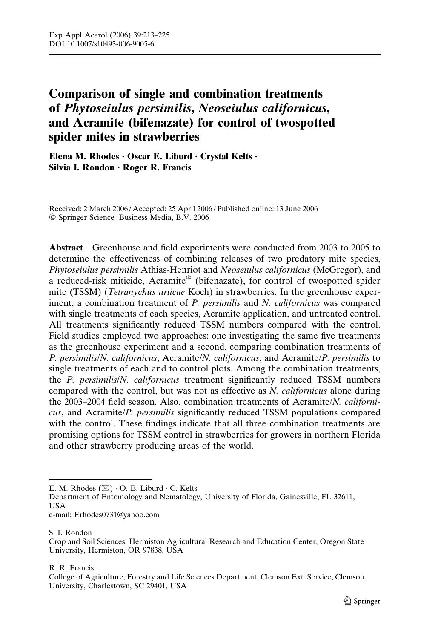# Comparison of single and combination treatments of Phytoseiulus persimilis, Neoseiulus californicus, and Acramite (bifenazate) for control of twospotted spider mites in strawberries

Elena M. Rhodes  $\cdot$  Oscar E. Liburd  $\cdot$  Crystal Kelts  $\cdot$ Silvia I. Rondon · Roger R. Francis

Received: 2 March 2006 / Accepted: 25 April 2006 / Published online: 13 June 2006 - Springer Science+Business Media, B.V. 2006

Abstract Greenhouse and field experiments were conducted from 2003 to 2005 to determine the effectiveness of combining releases of two predatory mite species, Phytoseiulus persimilis Athias-Henriot and Neoseiulus californicus (McGregor), and a reduced-risk miticide, Acramite® (bifenazate), for control of twospotted spider mite (TSSM) (Tetranychus urticae Koch) in strawberries. In the greenhouse experiment, a combination treatment of P. persimilis and N. californicus was compared with single treatments of each species, Acramite application, and untreated control. All treatments significantly reduced TSSM numbers compared with the control. Field studies employed two approaches: one investigating the same five treatments as the greenhouse experiment and a second, comparing combination treatments of P. persimilis/N. californicus, Acramite/N. californicus, and Acramite/P. persimilis to single treatments of each and to control plots. Among the combination treatments, the P. persimilis/N. californicus treatment significantly reduced TSSM numbers compared with the control, but was not as effective as N. californicus alone during the 2003–2004 field season. Also, combination treatments of Acramite/N. californicus, and Acramite/P. persimilis significantly reduced TSSM populations compared with the control. These findings indicate that all three combination treatments are promising options for TSSM control in strawberries for growers in northern Florida and other strawberry producing areas of the world.

S. I. Rondon

R. R. Francis

E. M. Rhodes  $(\boxtimes) \cdot$  O. E. Liburd  $\cdot$  C. Kelts

Department of Entomology and Nematology, University of Florida, Gainesville, FL 32611, USA

e-mail: Erhodes0731@yahoo.com

Crop and Soil Sciences, Hermiston Agricultural Research and Education Center, Oregon State University, Hermiston, OR 97838, USA

College of Agriculture, Forestry and Life Sciences Department, Clemson Ext. Service, Clemson University, Charlestown, SC 29401, USA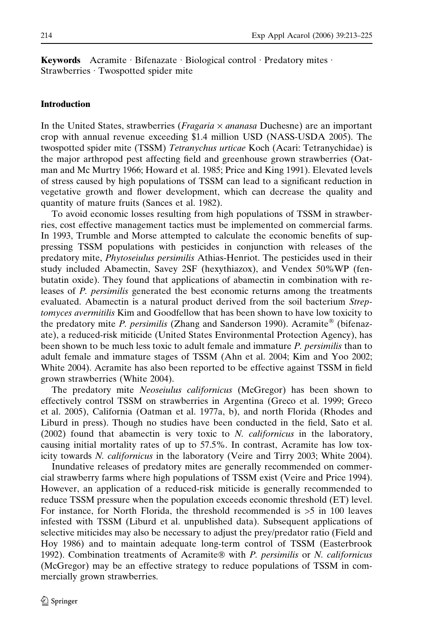**Keywords** Acramite Bifenazate Biological control Predatory mites Strawberries · Twospotted spider mite

## Introduction

In the United States, strawberries (*Fragaria*  $\times$  *ananasa* Duchesne) are an important crop with annual revenue exceeding \$1.4 million USD (NASS-USDA 2005). The twospotted spider mite (TSSM) Tetranychus urticae Koch (Acari: Tetranychidae) is the major arthropod pest affecting field and greenhouse grown strawberries (Oatman and Mc Murtry 1966; Howard et al. 1985; Price and King 1991). Elevated levels of stress caused by high populations of TSSM can lead to a significant reduction in vegetative growth and flower development, which can decrease the quality and quantity of mature fruits (Sances et al. 1982).

To avoid economic losses resulting from high populations of TSSM in strawberries, cost effective management tactics must be implemented on commercial farms. In 1993, Trumble and Morse attempted to calculate the economic benefits of suppressing TSSM populations with pesticides in conjunction with releases of the predatory mite, Phytoseiulus persimilis Athias-Henriot. The pesticides used in their study included Abamectin, Savey 2SF (hexythiazox), and Vendex 50%WP (fenbutatin oxide). They found that applications of abamectin in combination with releases of P. persimilis generated the best economic returns among the treatments evaluated. Abamectin is a natural product derived from the soil bacterium Streptomyces avermitilis Kim and Goodfellow that has been shown to have low toxicity to the predatory mite P. persimilis (Zhang and Sanderson 1990). Acramite<sup>®</sup> (bifenazate), a reduced-risk miticide (United States Environmental Protection Agency), has been shown to be much less toxic to adult female and immature P. persimilis than to adult female and immature stages of TSSM (Ahn et al. 2004; Kim and Yoo 2002; White 2004). Acramite has also been reported to be effective against TSSM in field grown strawberries (White 2004).

The predatory mite Neoseiulus californicus (McGregor) has been shown to effectively control TSSM on strawberries in Argentina (Greco et al. 1999; Greco et al. 2005), California (Oatman et al. 1977a, b), and north Florida (Rhodes and Liburd in press). Though no studies have been conducted in the field, Sato et al.  $(2002)$  found that abamectin is very toxic to *N. californicus* in the laboratory, causing initial mortality rates of up to 57.5%. In contrast, Acramite has low toxicity towards N. californicus in the laboratory (Veire and Tirry 2003; White 2004).

Inundative releases of predatory mites are generally recommended on commercial strawberry farms where high populations of TSSM exist (Veire and Price 1994). However, an application of a reduced-risk miticide is generally recommended to reduce TSSM pressure when the population exceeds economic threshold (ET) level. For instance, for North Florida, the threshold recommended is >5 in 100 leaves infested with TSSM (Liburd et al. unpublished data). Subsequent applications of selective miticides may also be necessary to adjust the prey/predator ratio (Field and Hoy 1986) and to maintain adequate long-term control of TSSM (Easterbrook 1992). Combination treatments of Acramite® with  $P$ . persimilis or  $N$ . californicus (McGregor) may be an effective strategy to reduce populations of TSSM in commercially grown strawberries.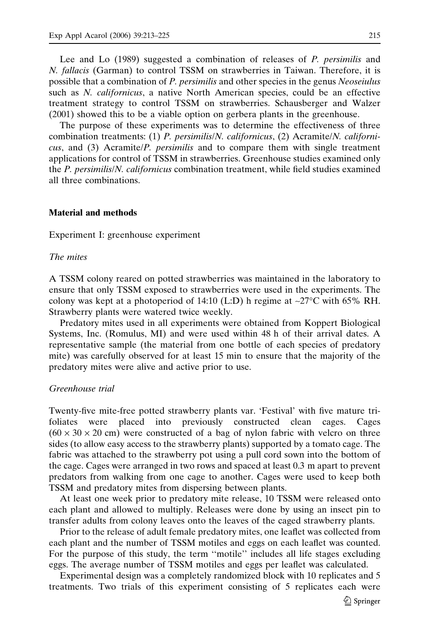Lee and Lo (1989) suggested a combination of releases of P. *persimilis* and N. fallacis (Garman) to control TSSM on strawberries in Taiwan. Therefore, it is possible that a combination of P. persimilis and other species in the genus Neoseiulus such as N. californicus, a native North American species, could be an effective treatment strategy to control TSSM on strawberries. Schausberger and Walzer (2001) showed this to be a viable option on gerbera plants in the greenhouse.

The purpose of these experiments was to determine the effectiveness of three combination treatments: (1) P. persimilis/N. californicus, (2) Acramite/N. californicus, and (3) Acramite/P. persimilis and to compare them with single treatment applications for control of TSSM in strawberries. Greenhouse studies examined only the P. persimilis/N. californicus combination treatment, while field studies examined all three combinations.

## Material and methods

Experiment I: greenhouse experiment

## The mites

A TSSM colony reared on potted strawberries was maintained in the laboratory to ensure that only TSSM exposed to strawberries were used in the experiments. The colony was kept at a photoperiod of 14:10 (L:D) h regime at  $\sim$ 27°C with 65% RH. Strawberry plants were watered twice weekly.

Predatory mites used in all experiments were obtained from Koppert Biological Systems, Inc. (Romulus, MI) and were used within 48 h of their arrival dates. A representative sample (the material from one bottle of each species of predatory mite) was carefully observed for at least 15 min to ensure that the majority of the predatory mites were alive and active prior to use.

#### Greenhouse trial

Twenty-five mite-free potted strawberry plants var. 'Festival' with five mature trifoliates were placed into previously constructed clean cages. Cages  $(60 \times 30 \times 20$  cm) were constructed of a bag of nylon fabric with velcro on three sides (to allow easy access to the strawberry plants) supported by a tomato cage. The fabric was attached to the strawberry pot using a pull cord sown into the bottom of the cage. Cages were arranged in two rows and spaced at least 0.3 m apart to prevent predators from walking from one cage to another. Cages were used to keep both TSSM and predatory mites from dispersing between plants.

At least one week prior to predatory mite release, 10 TSSM were released onto each plant and allowed to multiply. Releases were done by using an insect pin to transfer adults from colony leaves onto the leaves of the caged strawberry plants.

Prior to the release of adult female predatory mites, one leaflet was collected from each plant and the number of TSSM motiles and eggs on each leaflet was counted. For the purpose of this study, the term ''motile'' includes all life stages excluding eggs. The average number of TSSM motiles and eggs per leaflet was calculated.

Experimental design was a completely randomized block with 10 replicates and 5 treatments. Two trials of this experiment consisting of 5 replicates each were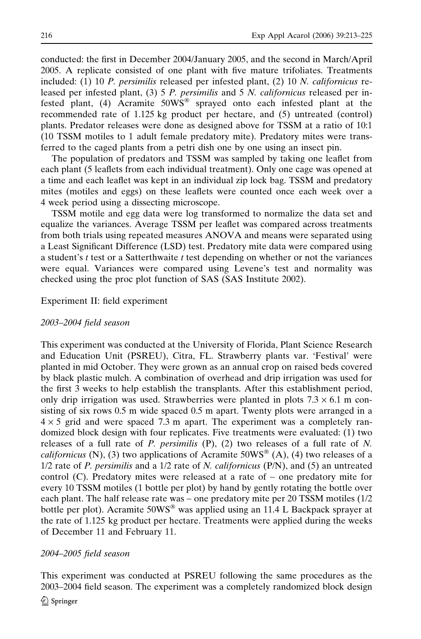conducted: the first in December 2004/January 2005, and the second in March/April 2005. A replicate consisted of one plant with five mature trifoliates. Treatments included:  $(1)$  10 P. persimilis released per infested plant,  $(2)$  10 N. *californicus* released per infested plant, (3) 5 P. persimilis and 5 N. californicus released per infested plant, (4) Acramite 50WS<sup>®</sup> sprayed onto each infested plant at the recommended rate of 1.125 kg product per hectare, and (5) untreated (control) plants. Predator releases were done as designed above for TSSM at a ratio of 10:1 (10 TSSM motiles to 1 adult female predatory mite). Predatory mites were transferred to the caged plants from a petri dish one by one using an insect pin.

The population of predators and TSSM was sampled by taking one leaflet from each plant (5 leaflets from each individual treatment). Only one cage was opened at a time and each leaflet was kept in an individual zip lock bag. TSSM and predatory mites (motiles and eggs) on these leaflets were counted once each week over a 4 week period using a dissecting microscope.

TSSM motile and egg data were log transformed to normalize the data set and equalize the variances. Average TSSM per leaflet was compared across treatments from both trials using repeated measures ANOVA and means were separated using a Least Significant Difference (LSD) test. Predatory mite data were compared using a student's  $t$  test or a Satterthwaite  $t$  test depending on whether or not the variances were equal. Variances were compared using Levene's test and normality was checked using the proc plot function of SAS (SAS Institute 2002).

## Experiment II: field experiment

#### 2003–2004 field season

This experiment was conducted at the University of Florida, Plant Science Research and Education Unit (PSREU), Citra, FL. Strawberry plants var. 'Festival' were planted in mid October. They were grown as an annual crop on raised beds covered by black plastic mulch. A combination of overhead and drip irrigation was used for the first 3 weeks to help establish the transplants. After this establishment period, only drip irrigation was used. Strawberries were planted in plots  $7.3 \times 6.1$  m consisting of six rows 0.5 m wide spaced 0.5 m apart. Twenty plots were arranged in a  $4 \times 5$  grid and were spaced 7.3 m apart. The experiment was a completely randomized block design with four replicates. Five treatments were evaluated: (1) two releases of a full rate of  $P$ . persimilis  $(P)$ ,  $(2)$  two releases of a full rate of  $N$ . *californicus* (N), (3) two applications of Acramite 50WS<sup>®</sup> (A), (4) two releases of a  $1/2$  rate of P. persimilis and a  $1/2$  rate of N. *californicus* (P/N), and (5) an untreated control (C). Predatory mites were released at a rate of  $\sim$  one predatory mite for every 10 TSSM motiles (1 bottle per plot) by hand by gently rotating the bottle over each plant. The half release rate was  $\sim$  one predatory mite per 20 TSSM motiles (1/2) bottle per plot). Acramite  $50WS^{\circledast}$  was applied using an 11.4 L Backpack sprayer at the rate of 1.125 kg product per hectare. Treatments were applied during the weeks of December 11 and February 11.

## 2004–2005 field season

This experiment was conducted at PSREU following the same procedures as the 2003–2004 field season. The experiment was a completely randomized block design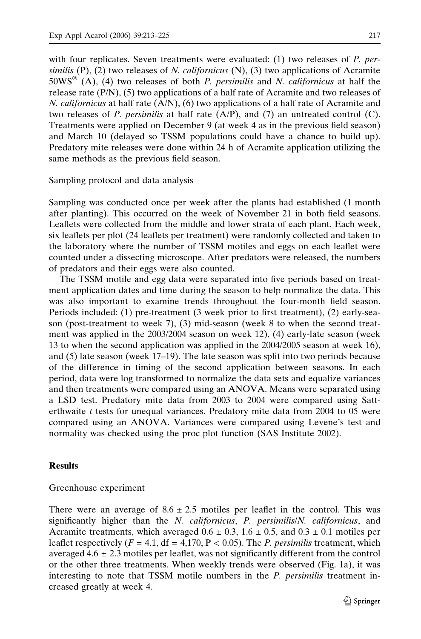with four replicates. Seven treatments were evaluated: (1) two releases of P. persimilis  $(P)$ ,  $(2)$  two releases of *N. californicus*  $(N)$ ,  $(3)$  two applications of Acramite  $50WS^{\circ\circ}$  (A), (4) two releases of both *P. persimilis* and *N. californicus* at half the release rate (P/N), (5) two applications of a half rate of Acramite and two releases of N. californicus at half rate (A/N), (6) two applications of a half rate of Acramite and two releases of P. persimilis at half rate  $(A/P)$ , and (7) an untreated control (C). Treatments were applied on December 9 (at week 4 as in the previous field season) and March 10 (delayed so TSSM populations could have a chance to build up). Predatory mite releases were done within 24 h of Acramite application utilizing the same methods as the previous field season.

Sampling protocol and data analysis

Sampling was conducted once per week after the plants had established (1 month after planting). This occurred on the week of November 21 in both field seasons. Leaflets were collected from the middle and lower strata of each plant. Each week, six leaflets per plot (24 leaflets per treatment) were randomly collected and taken to the laboratory where the number of TSSM motiles and eggs on each leaflet were counted under a dissecting microscope. After predators were released, the numbers of predators and their eggs were also counted.

The TSSM motile and egg data were separated into five periods based on treatment application dates and time during the season to help normalize the data. This was also important to examine trends throughout the four-month field season. Periods included: (1) pre-treatment (3 week prior to first treatment), (2) early-season (post-treatment to week 7), (3) mid-season (week 8 to when the second treatment was applied in the 2003/2004 season on week 12), (4) early-late season (week 13 to when the second application was applied in the 2004/2005 season at week 16), and (5) late season (week 17–19). The late season was split into two periods because of the difference in timing of the second application between seasons. In each period, data were log transformed to normalize the data sets and equalize variances and then treatments were compared using an ANOVA. Means were separated using a LSD test. Predatory mite data from 2003 to 2004 were compared using Satterthwaite  $t$  tests for unequal variances. Predatory mite data from 2004 to 05 were compared using an ANOVA. Variances were compared using Levene's test and normality was checked using the proc plot function (SAS Institute 2002).

## Results

#### Greenhouse experiment

There were an average of  $8.6 \pm 2.5$  motiles per leaflet in the control. This was significantly higher than the N. californicus, P. persimilis/N. californicus, and Acramite treatments, which averaged  $0.6 \pm 0.3$ ,  $1.6 \pm 0.5$ , and  $0.3 \pm 0.1$  motiles per leaflet respectively  $(F = 4.1, df = 4.170, P < 0.05)$ . The *P. persimilis* treatment, which averaged  $4.6 \pm 2.3$  motiles per leaflet, was not significantly different from the control or the other three treatments. When weekly trends were observed (Fig. 1a), it was interesting to note that TSSM motile numbers in the P. persimilis treatment increased greatly at week 4.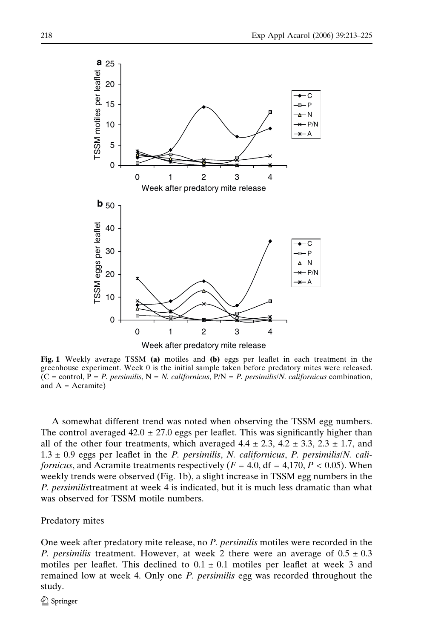

Fig. 1 Weekly average TSSM (a) motiles and (b) eggs per leaflet in each treatment in the greenhouse experiment. Week 0 is the initial sample taken before predatory mites were released.  $(C =$  control,  $P = P$ . persimilis,  $N = N$ . californicus,  $P/N = P$ . persimilis/N. californicus combination, and  $A =$  Acramite)

A somewhat different trend was noted when observing the TSSM egg numbers. The control averaged  $42.0 \pm 27.0$  eggs per leaflet. This was significantly higher than all of the other four treatments, which averaged  $4.4 \pm 2.3$ ,  $4.2 \pm 3.3$ ,  $2.3 \pm 1.7$ , and  $1.3 \pm 0.9$  eggs per leaflet in the *P. persimilis, N. californicus, P. persimilis/N. cali*fornicus, and Acramite treatments respectively  $(F = 4.0, df = 4.170, P < 0.05)$ . When weekly trends were observed (Fig. 1b), a slight increase in TSSM egg numbers in the P. persimilistreatment at week 4 is indicated, but it is much less dramatic than what was observed for TSSM motile numbers.

Predatory mites

One week after predatory mite release, no P. persimilis motiles were recorded in the P. persimilis treatment. However, at week 2 there were an average of  $0.5 \pm 0.3$ motiles per leaflet. This declined to  $0.1 \pm 0.1$  motiles per leaflet at week 3 and remained low at week 4. Only one P. persimilis egg was recorded throughout the study.

 $\mathcal{D}$  Springer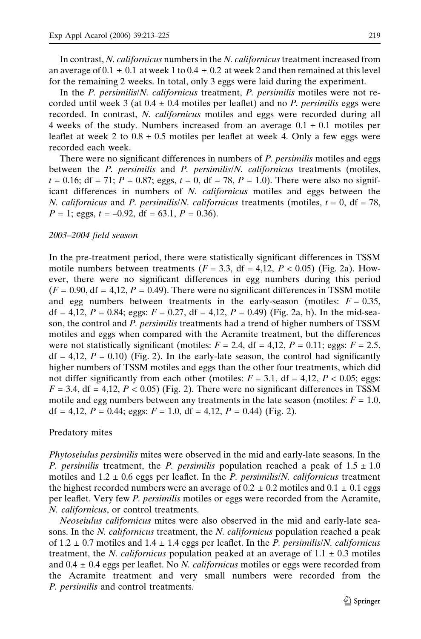In contrast, N. californicus numbers in the N. californicus treatment increased from an average of  $0.1 \pm 0.1$  at week 1 to  $0.4 \pm 0.2$  at week 2 and then remained at this level for the remaining 2 weeks. In total, only 3 eggs were laid during the experiment.

In the P. persimilis/N. californicus treatment, P. persimilis motiles were not recorded until week 3 (at  $0.4 \pm 0.4$  motiles per leaflet) and no *P. persimilis* eggs were recorded. In contrast, N. californicus motiles and eggs were recorded during all 4 weeks of the study. Numbers increased from an average  $0.1 \pm 0.1$  motiles per leaflet at week 2 to  $0.8 \pm 0.5$  motiles per leaflet at week 4. Only a few eggs were recorded each week.

There were no significant differences in numbers of P. *persimilis* motiles and eggs between the  $P$ . persimilis and  $P$ . persimilis/ $N$ . californicus treatments (motiles,  $t = 0.16$ ; df = 71;  $P = 0.87$ ; eggs,  $t = 0$ , df = 78,  $P = 1.0$ ). There were also no significant differences in numbers of N. californicus motiles and eggs between the N. californicus and P. persimilis/N. californicus treatments (motiles,  $t = 0$ , df = 78,  $P = 1$ ; eggs,  $t = -0.92$ , df = 63.1,  $P = 0.36$ ).

#### 2003–2004 field season

In the pre-treatment period, there were statistically significant differences in TSSM motile numbers between treatments  $(F = 3.3, df = 4.12, P < 0.05)$  (Fig. 2a). However, there were no significant differences in egg numbers during this period  $(F = 0.90, df = 4.12, P = 0.49)$ . There were no significant differences in TSSM motile and egg numbers between treatments in the early-season (motiles:  $F = 0.35$ , df = 4,12,  $P = 0.84$ ; eggs:  $F = 0.27$ , df = 4,12,  $P = 0.49$ ) (Fig. 2a, b). In the mid-season, the control and P. persimilis treatments had a trend of higher numbers of TSSM motiles and eggs when compared with the Acramite treatment, but the differences were not statistically significant (motiles:  $F = 2.4$ , df = 4,12,  $P = 0.11$ ; eggs:  $F = 2.5$ ,  $df = 4.12$ ,  $P = 0.10$ ) (Fig. 2). In the early-late season, the control had significantly higher numbers of TSSM motiles and eggs than the other four treatments, which did not differ significantly from each other (motiles:  $F = 3.1$ , df = 4,12,  $P < 0.05$ ; eggs:  $F = 3.4$ , df = 4,12,  $P < 0.05$ ) (Fig. 2). There were no significant differences in TSSM motile and egg numbers between any treatments in the late season (motiles:  $F = 1.0$ , df = 4,12,  $P = 0.44$ ; eggs:  $F = 1.0$ , df = 4,12,  $P = 0.44$ ) (Fig. 2).

#### Predatory mites

Phytoseiulus persimilis mites were observed in the mid and early-late seasons. In the P. persimilis treatment, the P. persimilis population reached a peak of  $1.5 \pm 1.0$ motiles and  $1.2 \pm 0.6$  eggs per leaflet. In the *P. persimilis/N. californicus* treatment the highest recorded numbers were an average of  $0.2 \pm 0.2$  motiles and  $0.1 \pm 0.1$  eggs per leaflet. Very few P. persimilis motiles or eggs were recorded from the Acramite, N. californicus, or control treatments.

Neoseiulus californicus mites were also observed in the mid and early-late seasons. In the *N. californicus* treatment, the *N. californicus* population reached a peak of  $1.2 \pm 0.7$  motiles and  $1.4 \pm 1.4$  eggs per leaflet. In the P. persimilis/N. californicus treatment, the *N. californicus* population peaked at an average of  $1.1 \pm 0.3$  motiles and  $0.4 \pm 0.4$  eggs per leaflet. No *N. californicus* motiles or eggs were recorded from the Acramite treatment and very small numbers were recorded from the P. persimilis and control treatments.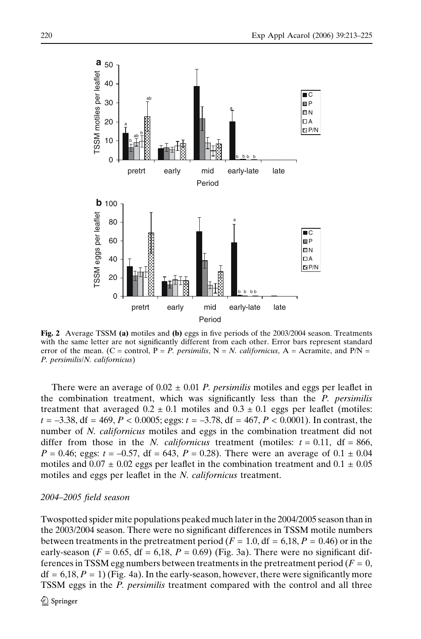

Fig. 2 Average TSSM (a) motiles and (b) eggs in five periods of the 2003/2004 season. Treatments with the same letter are not significantly different from each other. Error bars represent standard error of the mean. (C = control, P = P. persimilis, N = N. californicus, A = Acramite, and P/N = P. persimilis/N. californicus)

There were an average of  $0.02 \pm 0.01$  *P. persimilis* motiles and eggs per leaflet in the combination treatment, which was significantly less than the P. persimilis treatment that averaged  $0.2 \pm 0.1$  motiles and  $0.3 \pm 0.1$  eggs per leaflet (motiles:  $t = -3.38$ , df = 469, P < 0.0005; eggs:  $t = -3.78$ , df = 467, P < 0.0001). In contrast, the number of N. *californicus* motiles and eggs in the combination treatment did not differ from those in the N. *californicus* treatment (motiles:  $t = 0.11$ , df = 866,  $P = 0.46$ ; eggs:  $t = -0.57$ , df = 643,  $P = 0.28$ ). There were an average of  $0.1 \pm 0.04$ motiles and  $0.07 \pm 0.02$  eggs per leaflet in the combination treatment and  $0.1 \pm 0.05$ motiles and eggs per leaflet in the N. *californicus* treatment.

## 2004–2005 field season

Twospotted spider mite populations peaked much later in the 2004/2005 season than in the 2003/2004 season. There were no significant differences in TSSM motile numbers between treatments in the pretreatment period ( $F = 1.0$ , df = 6,18,  $P = 0.46$ ) or in the early-season ( $F = 0.65$ , df = 6,18,  $P = 0.69$ ) (Fig. 3a). There were no significant differences in TSSM egg numbers between treatments in the pretreatment period ( $F = 0$ ,  $df = 6,18, P = 1$ ) (Fig. 4a). In the early-season, however, there were significantly more TSSM eggs in the P. persimilis treatment compared with the control and all three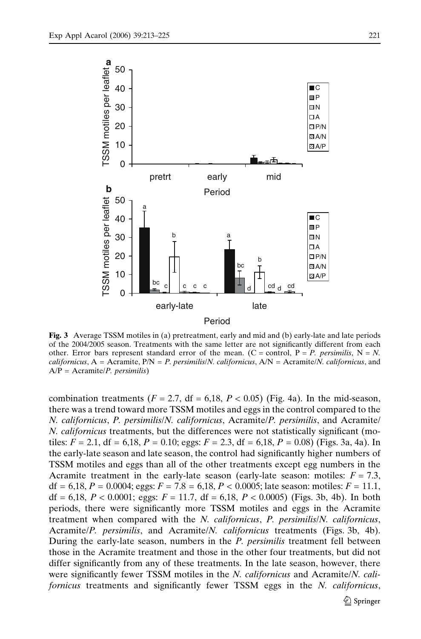

Fig. 3 Average TSSM motiles in (a) pretreatment, early and mid and (b) early-late and late periods of the 2004/2005 season. Treatments with the same letter are not significantly different from each other. Error bars represent standard error of the mean. (C = control, P = P. persimilis, N = N. californicus,  $A = A$ cramite,  $P/N = P$ . persimilis/N. californicus,  $A/N = A$ cramite/N. californicus, and  $A/P = A$ cramite/*P. persimilis*)

combination treatments ( $F = 2.7$ , df = 6,18,  $P < 0.05$ ) (Fig. 4a). In the mid-season, there was a trend toward more TSSM motiles and eggs in the control compared to the N. californicus, P. persimilis/N. californicus, Acramite/P. persimilis, and Acramite/ N. californicus treatments, but the differences were not statistically significant (motiles:  $F = 2.1$ , df = 6,18,  $P = 0.10$ ; eggs:  $F = 2.3$ , df = 6,18,  $P = 0.08$ ) (Figs. 3a, 4a). In the early-late season and late season, the control had significantly higher numbers of TSSM motiles and eggs than all of the other treatments except egg numbers in the Acramite treatment in the early-late season (early-late season: motiles:  $F = 7.3$ , df = 6,18,  $P = 0.0004$ ; eggs:  $F = 7.8 = 6,18$ ,  $P < 0.0005$ ; late season: motiles:  $F = 11.1$ , df = 6,18,  $P < 0.0001$ ; eggs:  $F = 11.7$ , df = 6,18,  $P < 0.0005$ ) (Figs. 3b, 4b). In both periods, there were significantly more TSSM motiles and eggs in the Acramite treatment when compared with the N. californicus, P. persimilis/N. californicus, Acramite/P. persimilis, and Acramite/N. californicus treatments (Figs. 3b, 4b). During the early-late season, numbers in the P. persimilis treatment fell between those in the Acramite treatment and those in the other four treatments, but did not differ significantly from any of these treatments. In the late season, however, there were significantly fewer TSSM motiles in the N. californicus and Acramite/N. californicus treatments and significantly fewer TSSM eggs in the N. californicus,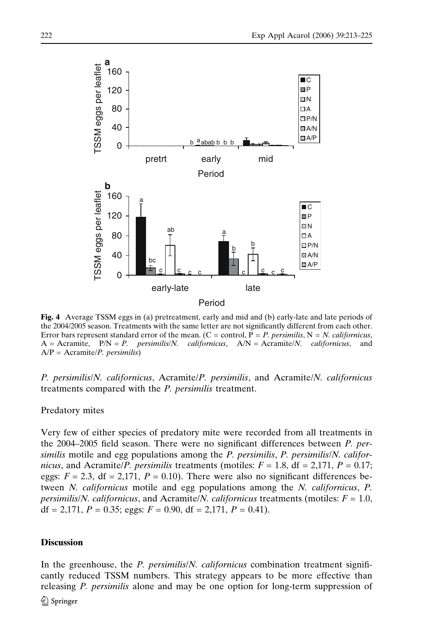

Fig. 4 Average TSSM eggs in (a) pretreatment, early and mid and (b) early-late and late periods of the 2004/2005 season. Treatments with the same letter are not significantly different from each other. Error bars represent standard error of the mean. (C = control,  $P = P$ . persimilis,  $N = N$ . californicus,  $A =$  Acramite,  $P/N = P$ . persimilis/N. californicus,  $A/N =$  Acramite/N. californicus, and  $A/P = A$ cramite/*P. persimilis*)

P. persimilis/N. californicus, Acramite/P. persimilis, and Acramite/N. californicus treatments compared with the P. persimilis treatment.

# Predatory mites

Very few of either species of predatory mite were recorded from all treatments in the 2004–2005 field season. There were no significant differences between P. persimilis motile and egg populations among the  $P$ . persimilis,  $P$ . persimilis/ $N$ . californicus, and Acramite/P. persimilis treatments (motiles:  $F = 1.8$ , df = 2,171,  $P = 0.17$ ; eggs:  $F = 2.3$ , df = 2,171,  $P = 0.10$ ). There were also no significant differences between N. californicus motile and egg populations among the N. californicus, P. *persimilis/N. californicus,* and Acramite/N. *californicus* treatments (motiles:  $F = 1.0$ , df = 2,171,  $P = 0.35$ ; eggs:  $F = 0.90$ , df = 2,171,  $P = 0.41$ ).

## **Discussion**

In the greenhouse, the *P. persimilis/N. californicus* combination treatment significantly reduced TSSM numbers. This strategy appears to be more effective than releasing P. persimilis alone and may be one option for long-term suppression of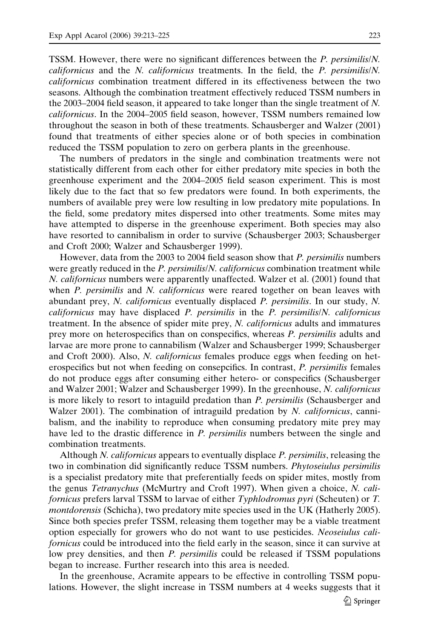TSSM. However, there were no significant differences between the P. persimilis/N. californicus and the N. californicus treatments. In the field, the P. persimilis/N. californicus combination treatment differed in its effectiveness between the two seasons. Although the combination treatment effectively reduced TSSM numbers in the 2003–2004 field season, it appeared to take longer than the single treatment of N. californicus. In the 2004–2005 field season, however, TSSM numbers remained low throughout the season in both of these treatments. Schausberger and Walzer (2001) found that treatments of either species alone or of both species in combination reduced the TSSM population to zero on gerbera plants in the greenhouse.

The numbers of predators in the single and combination treatments were not statistically different from each other for either predatory mite species in both the greenhouse experiment and the 2004–2005 field season experiment. This is most likely due to the fact that so few predators were found. In both experiments, the numbers of available prey were low resulting in low predatory mite populations. In the field, some predatory mites dispersed into other treatments. Some mites may have attempted to disperse in the greenhouse experiment. Both species may also have resorted to cannibalism in order to survive (Schausberger 2003; Schausberger and Croft 2000; Walzer and Schausberger 1999).

However, data from the 2003 to 2004 field season show that P. persimilis numbers were greatly reduced in the *P. persimilis/N. californicus* combination treatment while N. californicus numbers were apparently unaffected. Walzer et al. (2001) found that when *P. persimilis* and *N. californicus* were reared together on bean leaves with abundant prey, N. californicus eventually displaced P. persimilis. In our study, N. californicus may have displaced P. persimilis in the P. persimilis/N. californicus treatment. In the absence of spider mite prey, N. californicus adults and immatures prey more on heterospecifics than on conspecifics, whereas P. persimilis adults and larvae are more prone to cannabilism (Walzer and Schausberger 1999; Schausberger and Croft 2000). Also, N. californicus females produce eggs when feeding on heterospecifics but not when feeding on consepcifics. In contrast, P. persimilis females do not produce eggs after consuming either hetero- or conspecifics (Schausberger and Walzer 2001; Walzer and Schausberger 1999). In the greenhouse, N. californicus is more likely to resort to intaguild predation than P. persimilis (Schausberger and Walzer 2001). The combination of intraguild predation by N. californicus, cannibalism, and the inability to reproduce when consuming predatory mite prey may have led to the drastic difference in *P. persimilis* numbers between the single and combination treatments.

Although *N. californicus* appears to eventually displace *P. persimilis*, releasing the two in combination did significantly reduce TSSM numbers. Phytoseiulus persimilis is a specialist predatory mite that preferentially feeds on spider mites, mostly from the genus Tetranychus (McMurtry and Croft 1997). When given a choice, N. californicus prefers larval TSSM to larvae of either Typhlodromus pyri (Scheuten) or T. montdorensis (Schicha), two predatory mite species used in the UK (Hatherly 2005). Since both species prefer TSSM, releasing them together may be a viable treatment option especially for growers who do not want to use pesticides. Neoseiulus californicus could be introduced into the field early in the season, since it can survive at low prey densities, and then P. persimilis could be released if TSSM populations began to increase. Further research into this area is needed.

In the greenhouse, Acramite appears to be effective in controlling TSSM populations. However, the slight increase in TSSM numbers at 4 weeks suggests that it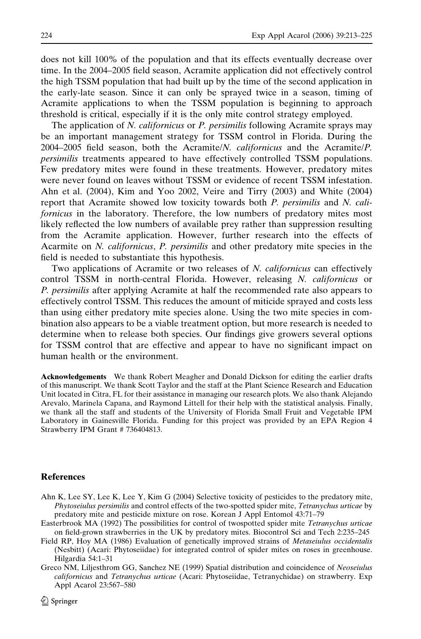does not kill 100% of the population and that its effects eventually decrease over time. In the 2004–2005 field season, Acramite application did not effectively control the high TSSM population that had built up by the time of the second application in the early-late season. Since it can only be sprayed twice in a season, timing of Acramite applications to when the TSSM population is beginning to approach threshold is critical, especially if it is the only mite control strategy employed.

The application of N. californicus or P. persimilis following Acramite sprays may be an important management strategy for TSSM control in Florida. During the 2004–2005 field season, both the Acramite/N. californicus and the Acramite/P. persimilis treatments appeared to have effectively controlled TSSM populations. Few predatory mites were found in these treatments. However, predatory mites were never found on leaves without TSSM or evidence of recent TSSM infestation. Ahn et al. (2004), Kim and Yoo 2002, Veire and Tirry (2003) and White (2004) report that Acramite showed low toxicity towards both P. persimilis and N. californicus in the laboratory. Therefore, the low numbers of predatory mites most likely reflected the low numbers of available prey rather than suppression resulting from the Acramite application. However, further research into the effects of Acarmite on N. californicus, P. persimilis and other predatory mite species in the field is needed to substantiate this hypothesis.

Two applications of Acramite or two releases of N. californicus can effectively control TSSM in north-central Florida. However, releasing N. californicus or P. persimilis after applying Acramite at half the recommended rate also appears to effectively control TSSM. This reduces the amount of miticide sprayed and costs less than using either predatory mite species alone. Using the two mite species in combination also appears to be a viable treatment option, but more research is needed to determine when to release both species. Our findings give growers several options for TSSM control that are effective and appear to have no significant impact on human health or the environment.

Acknowledgements We thank Robert Meagher and Donald Dickson for editing the earlier drafts of this manuscript. We thank Scott Taylor and the staff at the Plant Science Research and Education Unit located in Citra, FL for their assistance in managing our research plots. We also thank Alejando Arevalo, Marinela Capana, and Raymond Littell for their help with the statistical analysis. Finally, we thank all the staff and students of the University of Florida Small Fruit and Vegetable IPM Laboratory in Gainesville Florida. Funding for this project was provided by an EPA Region 4 Strawberry IPM Grant # 736404813.

#### References

- Ahn K, Lee SY, Lee K, Lee Y, Kim G (2004) Selective toxicity of pesticides to the predatory mite, Phytoseiulus persimilis and control effects of the two-spotted spider mite, Tetranychus urticae by predatory mite and pesticide mixture on rose. Korean J Appl Entomol 43:71–79
- Easterbrook MA (1992) The possibilities for control of twospotted spider mite Tetranychus urticae on field-grown strawberries in the UK by predatory mites. Biocontrol Sci and Tech 2:235–245
- Field RP, Hoy MA (1986) Evaluation of genetically improved strains of *Metaseiulus occidentalis* (Nesbitt) (Acari: Phytoseiidae) for integrated control of spider mites on roses in greenhouse. Hilgardia 54:1–31
- Greco NM, Liljesthrom GG, Sanchez NE (1999) Spatial distribution and coincidence of Neoseiulus californicus and Tetranychus urticae (Acari: Phytoseiidae, Tetranychidae) on strawberry. Exp Appl Acarol 23:567–580